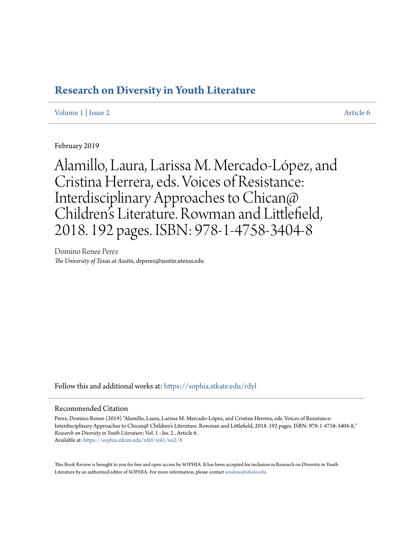# **[Research on Diversity in Youth Literature](https://sophia.stkate.edu/rdyl?utm_source=sophia.stkate.edu%2Frdyl%2Fvol1%2Fiss2%2F6&utm_medium=PDF&utm_campaign=PDFCoverPages)**

### [Volume 1](https://sophia.stkate.edu/rdyl/vol1?utm_source=sophia.stkate.edu%2Frdyl%2Fvol1%2Fiss2%2F6&utm_medium=PDF&utm_campaign=PDFCoverPages) | [Issue 2](https://sophia.stkate.edu/rdyl/vol1/iss2?utm_source=sophia.stkate.edu%2Frdyl%2Fvol1%2Fiss2%2F6&utm_medium=PDF&utm_campaign=PDFCoverPages) [Article 6](https://sophia.stkate.edu/rdyl/vol1/iss2/6?utm_source=sophia.stkate.edu%2Frdyl%2Fvol1%2Fiss2%2F6&utm_medium=PDF&utm_campaign=PDFCoverPages)

February 2019

Alamillo, Laura, Larissa M. Mercado-López, and Cristina Herrera, eds. Voices of Resistance: Interdisciplinary Approaches to Chican@ Children 's Literature. Rowman and Littlefield, 2018. 192 pages. ISBN: 978-1-4758-3404-8

Domino Renee Perez *The University of Texas at Austin*, drperez@austin.utexas.edu

Follow this and additional works at: [https://sophia.stkate.edu/rdyl](https://sophia.stkate.edu/rdyl?utm_source=sophia.stkate.edu%2Frdyl%2Fvol1%2Fiss2%2F6&utm_medium=PDF&utm_campaign=PDFCoverPages)

#### Recommended Citation

Perez, Domino Renee (2019) "Alamillo, Laura, Larissa M. Mercado-López, and Cristina Herrera, eds. Voices of Resistance: Interdisciplinary Approaches to Chican@ Children's Literature. Rowman and Littlefield, 2018. 192 pages. ISBN: 978-1-4758-3404-8," *Research on Diversity in Youth Literature*: Vol. 1 : Iss. 2 , Article 6. Available at: [https://sophia.stkate.edu/rdyl/vol1/iss2/6](https://sophia.stkate.edu/rdyl/vol1/iss2/6?utm_source=sophia.stkate.edu%2Frdyl%2Fvol1%2Fiss2%2F6&utm_medium=PDF&utm_campaign=PDFCoverPages)

This Book Review is brought to you for free and open access by SOPHIA. It has been accepted for inclusion in Research on Diversity in Youth Literature by an authorized editor of SOPHIA. For more information, please contact [amshaw@stkate.edu.](mailto:amshaw@stkate.edu)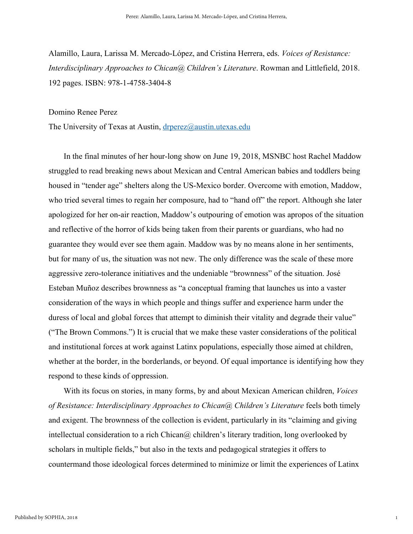Alamillo, Laura, Larissa M. Mercado-López, and Cristina Herrera, eds. *Voices of Resistance: Interdisciplinary Approaches to Chican@ Children's Literature*. Rowman and Littlefield, 2018. 192 pages. ISBN: 978-1-4758-3404-8

#### Domino Renee Perez

The University of Texas at Austin, [drperez@austin.utexas.edu](mailto:drperez@austin.utexas.edu)

In the final minutes of her hour-long show on June 19, 2018, MSNBC host Rachel Maddow struggled to read breaking news about Mexican and Central American babies and toddlers being housed in "tender age" shelters along the US-Mexico border. Overcome with emotion, Maddow, who tried several times to regain her composure, had to "hand off" the report. Although she later apologized for her on-air reaction, Maddow's outpouring of emotion was apropos of the situation and reflective of the horror of kids being taken from their parents or guardians, who had no guarantee they would ever see them again. Maddow was by no means alone in her sentiments, but for many of us, the situation was not new. The only difference was the scale of these more aggressive zero-tolerance initiatives and the undeniable "brownness" of the situation. José Esteban Muñoz describes brownness as "a conceptual framing that launches us into a vaster consideration of the ways in which people and things suffer and experience harm under the duress of local and global forces that attempt to diminish their vitality and degrade their value" ("The Brown Commons.") It is crucial that we make these vaster considerations of the political and institutional forces at work against Latinx populations, especially those aimed at children, whether at the border, in the borderlands, or beyond. Of equal importance is identifying how they respond to these kinds of oppression.

With its focus on stories, in many forms, by and about Mexican American children, *Voices of Resistance: Interdisciplinary Approaches to Chican@ Children's Literature* feels both timely and exigent. The brownness of the collection is evident, particularly in its "claiming and giving intellectual consideration to a rich Chican@ children's literary tradition, long overlooked by scholars in multiple fields," but also in the texts and pedagogical strategies it offers to countermand those ideological forces determined to minimize or limit the experiences of Latinx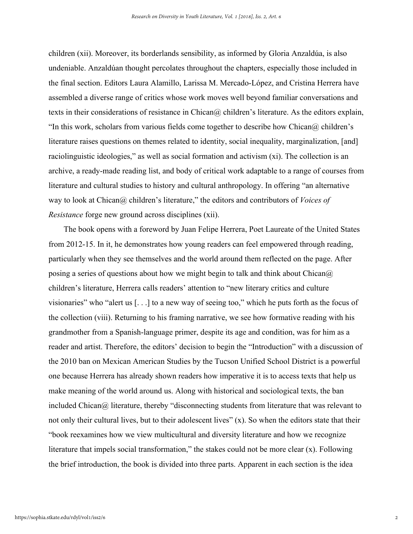children (xii). Moreover, its borderlands sensibility, as informed by Gloria Anzaldúa, is also undeniable. Anzaldúan thought percolates throughout the chapters, especially those included in the final section. Editors Laura Alamillo, Larissa M. Mercado-López, and Cristina Herrera have assembled a diverse range of critics whose work moves well beyond familiar conversations and texts in their considerations of resistance in Chican@ children's literature. As the editors explain, "In this work, scholars from various fields come together to describe how Chican $\omega$  children's literature raises questions on themes related to identity, social inequality, marginalization, [and] raciolinguistic ideologies," as well as social formation and activism (xi). The collection is an archive, a ready-made reading list, and body of critical work adaptable to a range of courses from literature and cultural studies to history and cultural anthropology. In offering "an alternative way to look at Chican@ children's literature," the editors and contributors of *Voices of Resistance* forge new ground across disciplines (xii).

The book opens with a foreword by Juan Felipe Herrera, Poet Laureate of the United States from 2012-15. In it, he demonstrates how young readers can feel empowered through reading, particularly when they see themselves and the world around them reflected on the page. After posing a series of questions about how we might begin to talk and think about Chican $\omega$ children's literature, Herrera calls readers' attention to "new literary critics and culture visionaries" who "alert us [. . .] to a new way of seeing too," which he puts forth as the focus of the collection (viii). Returning to his framing narrative, we see how formative reading with his grandmother from a Spanish-language primer, despite its age and condition, was for him as a reader and artist. Therefore, the editors' decision to begin the "Introduction" with a discussion of the 2010 ban on Mexican American Studies by the Tucson Unified School District is a powerful one because Herrera has already shown readers how imperative it is to access texts that help us make meaning of the world around us. Along with historical and sociological texts, the ban included Chican $\omega$  literature, thereby "disconnecting students from literature that was relevant to not only their cultural lives, but to their adolescent lives" (x). So when the editors state that their "book reexamines how we view multicultural and diversity literature and how we recognize literature that impels social transformation," the stakes could not be more clear (x). Following the brief introduction, the book is divided into three parts. Apparent in each section is the idea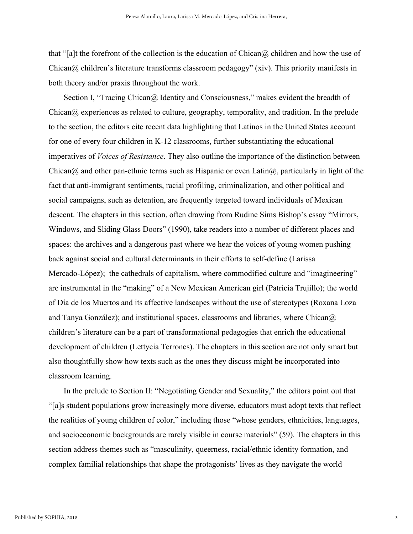that "[a]t the forefront of the collection is the education of Chican $\omega$  children and how the use of Chican@ children's literature transforms classroom pedagogy" (xiv). This priority manifests in both theory and/or praxis throughout the work.

Section I, "Tracing Chican@ Identity and Consciousness," makes evident the breadth of Chican@ experiences as related to culture, geography, temporality, and tradition. In the prelude to the section, the editors cite recent data highlighting that Latinos in the United States account for one of every four children in K-12 classrooms, further substantiating the educational imperatives of *Voices of Resistance*. They also outline the importance of the distinction between Chican $\omega$  and other pan-ethnic terms such as Hispanic or even Latin $\omega$ , particularly in light of the fact that anti-immigrant sentiments, racial profiling, criminalization, and other political and social campaigns, such as detention, are frequently targeted toward individuals of Mexican descent. The chapters in this section, often drawing from Rudine Sims Bishop's essay "Mirrors, Windows, and Sliding Glass Doors" (1990), take readers into a number of different places and spaces: the archives and a dangerous past where we hear the voices of young women pushing back against social and cultural determinants in their efforts to self-define (Larissa Mercado-López); the cathedrals of capitalism, where commodified culture and "imagineering" are instrumental in the "making" of a New Mexican American girl (Patricia Trujillo); the world of Día de los Muertos and its affective landscapes without the use of stereotypes (Roxana Loza and Tanya González); and institutional spaces, classrooms and libraries, where Chican $\omega$ children's literature can be a part of transformational pedagogies that enrich the educational development of children (Lettycia Terrones). The chapters in this section are not only smart but also thoughtfully show how texts such as the ones they discuss might be incorporated into classroom learning.

In the prelude to Section II: "Negotiating Gender and Sexuality," the editors point out that "[a]s student populations grow increasingly more diverse, educators must adopt texts that reflect the realities of young children of color," including those "whose genders, ethnicities, languages, and socioeconomic backgrounds are rarely visible in course materials" (59). The chapters in this section address themes such as "masculinity, queerness, racial/ethnic identity formation, and complex familial relationships that shape the protagonists' lives as they navigate the world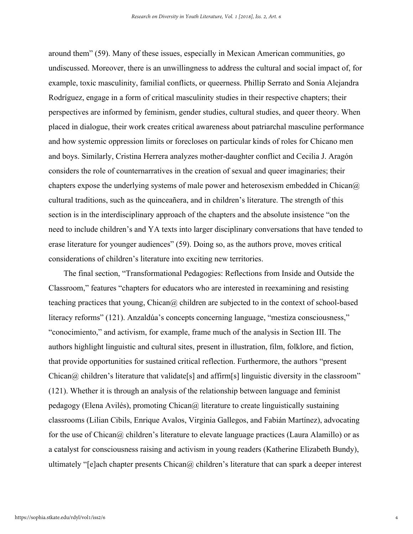around them" (59). Many of these issues, especially in Mexican American communities, go undiscussed. Moreover, there is an unwillingness to address the cultural and social impact of, for example, toxic masculinity, familial conflicts, or queerness. Phillip Serrato and Sonia Alejandra Rodríguez, engage in a form of critical masculinity studies in their respective chapters; their perspectives are informed by feminism, gender studies, cultural studies, and queer theory. When placed in dialogue, their work creates critical awareness about patriarchal masculine performance and how systemic oppression limits or forecloses on particular kinds of roles for Chicano men and boys. Similarly, Cristina Herrera analyzes mother-daughter conflict and Cecilia J. Aragón considers the role of counternarratives in the creation of sexual and queer imaginaries; their chapters expose the underlying systems of male power and heterosexism embedded in Chican $\omega$ cultural traditions, such as the quinceañera, and in children's literature. The strength of this section is in the interdisciplinary approach of the chapters and the absolute insistence "on the need to include children's and YA texts into larger disciplinary conversations that have tended to erase literature for younger audiences" (59). Doing so, as the authors prove, moves critical considerations of children's literature into exciting new territories.

The final section, "Transformational Pedagogies: Reflections from Inside and Outside the Classroom," features "chapters for educators who are interested in reexamining and resisting teaching practices that young,  $Chican@$  children are subjected to in the context of school-based literacy reforms" (121). Anzaldúa's concepts concerning language, "mestiza consciousness," "conocimiento," and activism, for example, frame much of the analysis in Section III. The authors highlight linguistic and cultural sites, present in illustration, film, folklore, and fiction, that provide opportunities for sustained critical reflection. Furthermore, the authors "present Chican $\omega$  children's literature that validate<sup>[s]</sup> and affirm<sup>[s]</sup> linguistic diversity in the classroom" (121). Whether it is through an analysis of the relationship between language and feminist pedagogy (Elena Avilés), promoting Chican $\omega$  literature to create linguistically sustaining classrooms (Lilian Cibils, Enrique Avalos, Virginia Gallegos, and Fabián Martínez), advocating for the use of Chican $\omega$  children's literature to elevate language practices (Laura Alamillo) or as a catalyst for consciousness raising and activism in young readers (Katherine Elizabeth Bundy), ultimately "[e]ach chapter presents  $Chican@$  children's literature that can spark a deeper interest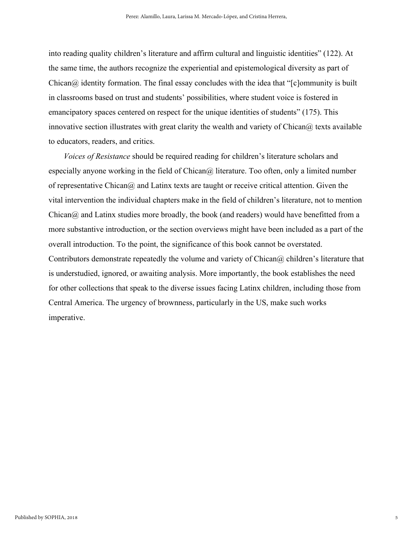into reading quality children's literature and affirm cultural and linguistic identities" (122). At the same time, the authors recognize the experiential and epistemological diversity as part of  $Chican@$  identity formation. The final essay concludes with the idea that " $[clommunity]$  is built in classrooms based on trust and students' possibilities, where student voice is fostered in emancipatory spaces centered on respect for the unique identities of students" (175). This innovative section illustrates with great clarity the wealth and variety of Chican $\omega$  texts available to educators, readers, and critics.

*Voices of Resistance* should be required reading for children's literature scholars and especially anyone working in the field of Chican@ literature. Too often, only a limited number of representative Chican $\omega$  and Latinx texts are taught or receive critical attention. Given the vital intervention the individual chapters make in the field of children's literature, not to mention  $Chican@$  and Latinx studies more broadly, the book (and readers) would have benefitted from a more substantive introduction, or the section overviews might have been included as a part of the overall introduction. To the point, the significance of this book cannot be overstated. Contributors demonstrate repeatedly the volume and variety of Chican $\omega$  children's literature that is understudied, ignored, or awaiting analysis. More importantly, the book establishes the need for other collections that speak to the diverse issues facing Latinx children, including those from Central America. The urgency of brownness, particularly in the US, make such works imperative.